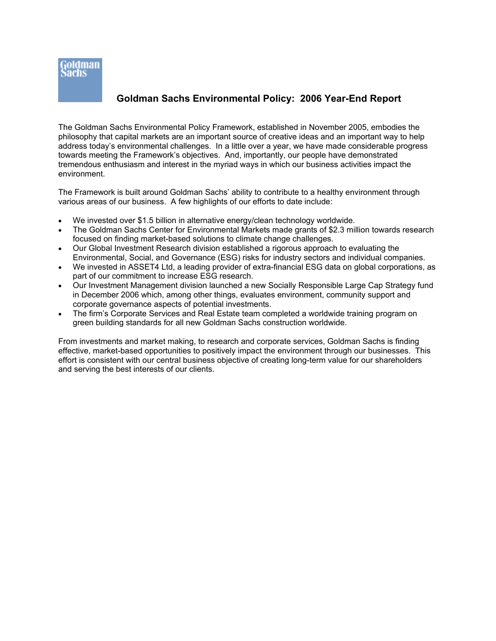

### **Goldman Sachs Environmental Policy: 2006 Year-End Report**

The Goldman Sachs Environmental Policy Framework, established in November 2005, embodies the philosophy that capital markets are an important source of creative ideas and an important way to help address today's environmental challenges. In a little over a year, we have made considerable progress towards meeting the Framework's objectives. And, importantly, our people have demonstrated tremendous enthusiasm and interest in the myriad ways in which our business activities impact the environment.

The Framework is built around Goldman Sachs' ability to contribute to a healthy environment through various areas of our business. A few highlights of our efforts to date include:

- We invested over \$1.5 billion in alternative energy/clean technology worldwide.
- The Goldman Sachs Center for Environmental Markets made grants of \$2.3 million towards research focused on finding market-based solutions to climate change challenges.
- Our Global Investment Research division established a rigorous approach to evaluating the Environmental, Social, and Governance (ESG) risks for industry sectors and individual companies.
- We invested in ASSET4 Ltd, a leading provider of extra-financial ESG data on global corporations, as part of our commitment to increase ESG research.
- Our Investment Management division launched a new Socially Responsible Large Cap Strategy fund in December 2006 which, among other things, evaluates environment, community support and corporate governance aspects of potential investments.
- The firm's Corporate Services and Real Estate team completed a worldwide training program on green building standards for all new Goldman Sachs construction worldwide.

From investments and market making, to research and corporate services, Goldman Sachs is finding effective, market-based opportunities to positively impact the environment through our businesses. This effort is consistent with our central business objective of creating long-term value for our shareholders and serving the best interests of our clients.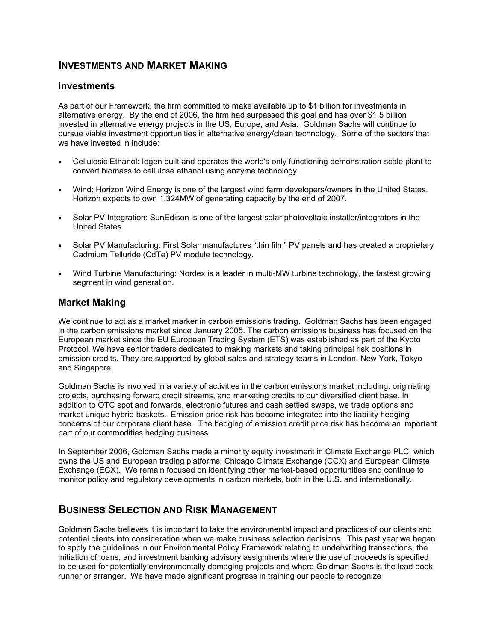### **INVESTMENTS AND MARKET MAKING**

### **Investments**

As part of our Framework, the firm committed to make available up to \$1 billion for investments in alternative energy. By the end of 2006, the firm had surpassed this goal and has over \$1.5 billion invested in alternative energy projects in the US, Europe, and Asia. Goldman Sachs will continue to pursue viable investment opportunities in alternative energy/clean technology. Some of the sectors that we have invested in include:

- Cellulosic Ethanol: Iogen built and operates the world's only functioning demonstration-scale plant to convert biomass to cellulose ethanol using enzyme technology.
- Wind: Horizon Wind Energy is one of the largest wind farm developers/owners in the United States. Horizon expects to own 1,324MW of generating capacity by the end of 2007.
- Solar PV Integration: SunEdison is one of the largest solar photovoltaic installer/integrators in the United States
- Solar PV Manufacturing: First Solar manufactures "thin film" PV panels and has created a proprietary Cadmium Telluride (CdTe) PV module technology.
- Wind Turbine Manufacturing: Nordex is a leader in multi-MW turbine technology, the fastest growing segment in wind generation.

### **Market Making**

We continue to act as a market marker in carbon emissions trading. Goldman Sachs has been engaged in the carbon emissions market since January 2005. The carbon emissions business has focused on the European market since the EU European Trading System (ETS) was established as part of the Kyoto Protocol. We have senior traders dedicated to making markets and taking principal risk positions in emission credits. They are supported by global sales and strategy teams in London, New York, Tokyo and Singapore.

Goldman Sachs is involved in a variety of activities in the carbon emissions market including: originating projects, purchasing forward credit streams, and marketing credits to our diversified client base. In addition to OTC spot and forwards, electronic futures and cash settled swaps, we trade options and market unique hybrid baskets. Emission price risk has become integrated into the liability hedging concerns of our corporate client base. The hedging of emission credit price risk has become an important part of our commodities hedging business

In September 2006, Goldman Sachs made a minority equity investment in Climate Exchange PLC, which owns the US and European trading platforms, Chicago Climate Exchange (CCX) and European Climate Exchange (ECX). We remain focused on identifying other market-based opportunities and continue to monitor policy and regulatory developments in carbon markets, both in the U.S. and internationally.

### **BUSINESS SELECTION AND RISK MANAGEMENT**

Goldman Sachs believes it is important to take the environmental impact and practices of our clients and potential clients into consideration when we make business selection decisions. This past year we began to apply the guidelines in our Environmental Policy Framework relating to underwriting transactions, the initiation of loans, and investment banking advisory assignments where the use of proceeds is specified to be used for potentially environmentally damaging projects and where Goldman Sachs is the lead book runner or arranger. We have made significant progress in training our people to recognize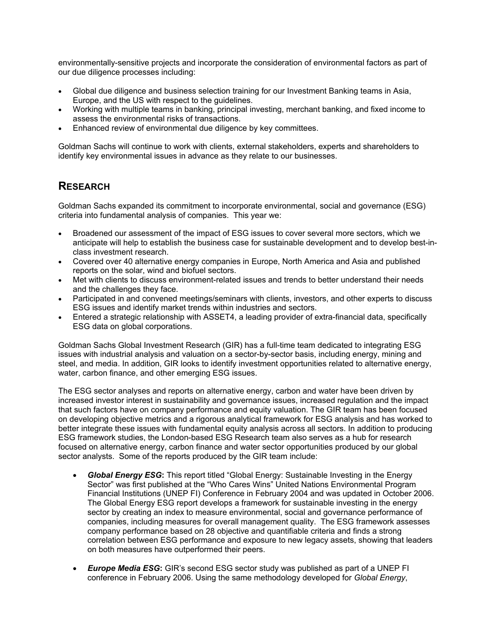environmentally-sensitive projects and incorporate the consideration of environmental factors as part of our due diligence processes including:

- Global due diligence and business selection training for our Investment Banking teams in Asia, Europe, and the US with respect to the guidelines.
- Working with multiple teams in banking, principal investing, merchant banking, and fixed income to assess the environmental risks of transactions.
- Enhanced review of environmental due diligence by key committees.

Goldman Sachs will continue to work with clients, external stakeholders, experts and shareholders to identify key environmental issues in advance as they relate to our businesses.

## **RESEARCH**

Goldman Sachs expanded its commitment to incorporate environmental, social and governance (ESG) criteria into fundamental analysis of companies. This year we:

- Broadened our assessment of the impact of ESG issues to cover several more sectors, which we anticipate will help to establish the business case for sustainable development and to develop best-inclass investment research.
- Covered over 40 alternative energy companies in Europe, North America and Asia and published reports on the solar, wind and biofuel sectors.
- Met with clients to discuss environment-related issues and trends to better understand their needs and the challenges they face.
- Participated in and convened meetings/seminars with clients, investors, and other experts to discuss ESG issues and identify market trends within industries and sectors.
- Entered a strategic relationship with ASSET4, a leading provider of extra-financial data, specifically ESG data on global corporations.

Goldman Sachs Global Investment Research (GIR) has a full-time team dedicated to integrating ESG issues with industrial analysis and valuation on a sector-by-sector basis, including energy, mining and steel, and media. In addition, GIR looks to identify investment opportunities related to alternative energy, water, carbon finance, and other emerging ESG issues.

The ESG sector analyses and reports on alternative energy, carbon and water have been driven by increased investor interest in sustainability and governance issues, increased regulation and the impact that such factors have on company performance and equity valuation. The GIR team has been focused on developing objective metrics and a rigorous analytical framework for ESG analysis and has worked to better integrate these issues with fundamental equity analysis across all sectors. In addition to producing ESG framework studies, the London-based ESG Research team also serves as a hub for research focused on alternative energy, carbon finance and water sector opportunities produced by our global sector analysts. Some of the reports produced by the GIR team include:

- *Global Energy ESG***:** This report titled "Global Energy: Sustainable Investing in the Energy Sector" was first published at the "Who Cares Wins" United Nations Environmental Program Financial Institutions (UNEP FI) Conference in February 2004 and was updated in October 2006. The Global Energy ESG report develops a framework for sustainable investing in the energy sector by creating an index to measure environmental, social and governance performance of companies, including measures for overall management quality. The ESG framework assesses company performance based on 28 objective and quantifiable criteria and finds a strong correlation between ESG performance and exposure to new legacy assets, showing that leaders on both measures have outperformed their peers.
- *Europe Media ESG***:** GIR's second ESG sector study was published as part of a UNEP FI conference in February 2006. Using the same methodology developed for *Global Energy*,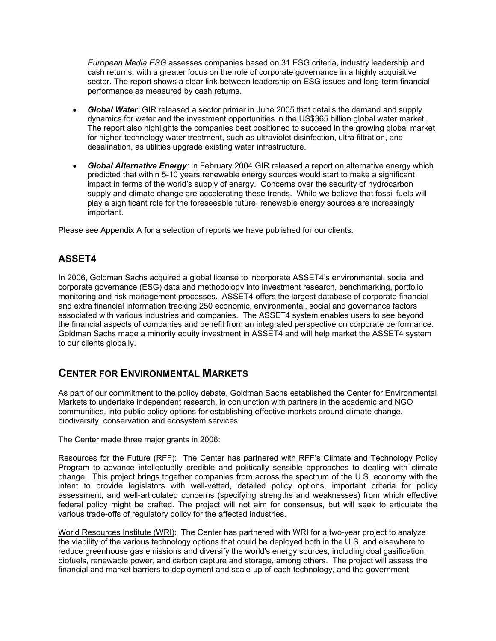*European Media ESG* assesses companies based on 31 ESG criteria, industry leadership and cash returns, with a greater focus on the role of corporate governance in a highly acquisitive sector. The report shows a clear link between leadership on ESG issues and long-term financial performance as measured by cash returns.

- *Global Water:* GIR released a sector primer in June 2005 that details the demand and supply dynamics for water and the investment opportunities in the US\$365 billion global water market. The report also highlights the companies best positioned to succeed in the growing global market for higher-technology water treatment, such as ultraviolet disinfection, ultra filtration, and desalination, as utilities upgrade existing water infrastructure.
- *Global Alternative Energy:* In February 2004 GIR released a report on alternative energy which predicted that within 5-10 years renewable energy sources would start to make a significant impact in terms of the world's supply of energy. Concerns over the security of hydrocarbon supply and climate change are accelerating these trends. While we believe that fossil fuels will play a significant role for the foreseeable future, renewable energy sources are increasingly important.

Please see Appendix A for a selection of reports we have published for our clients.

### **ASSET4**

In 2006, Goldman Sachs acquired a global license to incorporate ASSET4's environmental, social and corporate governance (ESG) data and methodology into investment research, benchmarking, portfolio monitoring and risk management processes. ASSET4 offers the largest database of corporate financial and extra financial information tracking 250 economic, environmental, social and governance factors associated with various industries and companies. The ASSET4 system enables users to see beyond the financial aspects of companies and benefit from an integrated perspective on corporate performance. Goldman Sachs made a minority equity investment in ASSET4 and will help market the ASSET4 system to our clients globally.

## **CENTER FOR ENVIRONMENTAL MARKETS**

As part of our commitment to the policy debate, Goldman Sachs established the Center for Environmental Markets to undertake independent research, in conjunction with partners in the academic and NGO communities, into public policy options for establishing effective markets around climate change, biodiversity, conservation and ecosystem services.

The Center made three major grants in 2006:

Resources for the Future (RFF): The Center has partnered with RFF's Climate and Technology Policy Program to advance intellectually credible and politically sensible approaches to dealing with climate change. This project brings together companies from across the spectrum of the U.S. economy with the intent to provide legislators with well-vetted, detailed policy options, important criteria for policy assessment, and well-articulated concerns (specifying strengths and weaknesses) from which effective federal policy might be crafted. The project will not aim for consensus, but will seek to articulate the various trade-offs of regulatory policy for the affected industries.

World Resources Institute (WRI): The Center has partnered with WRI for a two-year project to analyze the viability of the various technology options that could be deployed both in the U.S. and elsewhere to reduce greenhouse gas emissions and diversify the world's energy sources, including coal gasification, biofuels, renewable power, and carbon capture and storage, among others. The project will assess the financial and market barriers to deployment and scale-up of each technology, and the government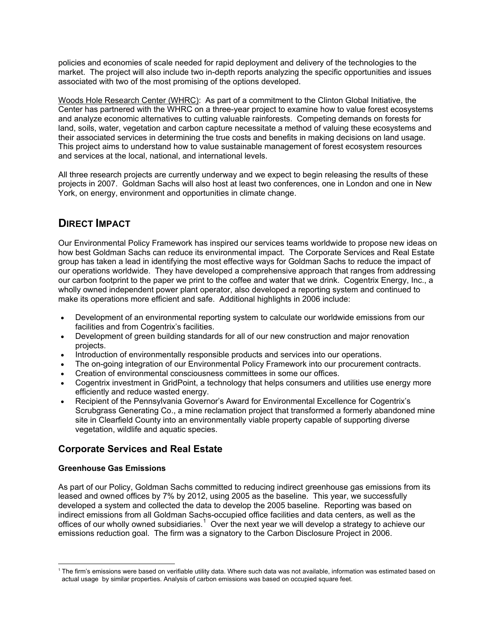policies and economies of scale needed for rapid deployment and delivery of the technologies to the market. The project will also include two in-depth reports analyzing the specific opportunities and issues associated with two of the most promising of the options developed.

Woods Hole Research Center (WHRC): As part of a commitment to the Clinton Global Initiative, the Center has partnered with the WHRC on a three-year project to examine how to value forest ecosystems and analyze economic alternatives to cutting valuable rainforests. Competing demands on forests for land, soils, water, vegetation and carbon capture necessitate a method of valuing these ecosystems and their associated services in determining the true costs and benefits in making decisions on land usage. This project aims to understand how to value sustainable management of forest ecosystem resources and services at the local, national, and international levels.

All three research projects are currently underway and we expect to begin releasing the results of these projects in 2007. Goldman Sachs will also host at least two conferences, one in London and one in New York, on energy, environment and opportunities in climate change.

## **DIRECT IMPACT**

Our Environmental Policy Framework has inspired our services teams worldwide to propose new ideas on how best Goldman Sachs can reduce its environmental impact. The Corporate Services and Real Estate group has taken a lead in identifying the most effective ways for Goldman Sachs to reduce the impact of our operations worldwide. They have developed a comprehensive approach that ranges from addressing our carbon footprint to the paper we print to the coffee and water that we drink. Cogentrix Energy, Inc., a wholly owned independent power plant operator, also developed a reporting system and continued to make its operations more efficient and safe. Additional highlights in 2006 include:

- Development of an environmental reporting system to calculate our worldwide emissions from our facilities and from Cogentrix's facilities.
- Development of green building standards for all of our new construction and major renovation projects.
- Introduction of environmentally responsible products and services into our operations.
- The on-going integration of our Environmental Policy Framework into our procurement contracts.
- Creation of environmental consciousness committees in some our offices.
- Cogentrix investment in GridPoint, a technology that helps consumers and utilities use energy more efficiently and reduce wasted energy.
- Recipient of the Pennsylvania Governor's Award for Environmental Excellence for Cogentrix's Scrubgrass Generating Co., a mine reclamation project that transformed a formerly abandoned mine site in Clearfield County into an environmentally viable property capable of supporting diverse vegetation, wildlife and aquatic species.

### **Corporate Services and Real Estate**

### **Greenhouse Gas Emissions**

As part of our Policy, Goldman Sachs committed to reducing indirect greenhouse gas emissions from its leased and owned offices by 7% by 2012, using 2005 as the baseline. This year, we successfully developed a system and collected the data to develop the 2005 baseline. Reporting was based on indirect emissions from all Goldman Sachs-occupied office facilities and data centers, as well as the offices of our wholly owned subsidiaries.<sup>[1](#page-4-0)</sup> Over the next year we will develop a strategy to achieve our emissions reduction goal. The firm was a signatory to the [Carbon Disclosure Project](http://www.cdproject.net/) in 2006.

<span id="page-4-0"></span> $\overline{a}$ <sup>1</sup> The firm's emissions were based on verifiable utility data. Where such data was not available, information was estimated based on actual usage by similar properties. Analysis of carbon emissions was based on occupied square feet.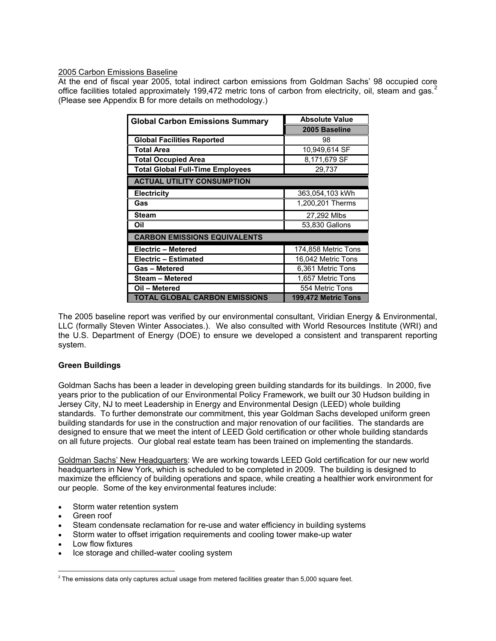#### 2005 Carbon Emissions Baseline

At the end of fiscal year 2005, total indirect carbon emissions from Goldman Sachs' 98 occupied core office facilities totaled approximately 199,47[2](#page-5-0) metric tons of carbon from electricity, oil, steam and gas.<sup>2</sup> (Please see Appendix B for more details on methodology.)

| <b>Global Carbon Emissions Summary</b>  | <b>Absolute Value</b> |  |  |  |
|-----------------------------------------|-----------------------|--|--|--|
|                                         | 2005 Baseline         |  |  |  |
| <b>Global Facilities Reported</b>       | 98                    |  |  |  |
| <b>Total Area</b>                       | 10,949,614 SF         |  |  |  |
| <b>Total Occupied Area</b>              | 8,171,679 SF          |  |  |  |
| <b>Total Global Full-Time Employees</b> | 29,737                |  |  |  |
| <b>ACTUAL UTILITY CONSUMPTION</b>       |                       |  |  |  |
| <b>Electricity</b>                      | 363,054,103 kWh       |  |  |  |
| Gas                                     | 1,200,201 Therms      |  |  |  |
| <b>Steam</b>                            | 27,292 Mlbs           |  |  |  |
| Oil                                     | 53,830 Gallons        |  |  |  |
| <b>CARBON EMISSIONS EQUIVALENTS</b>     |                       |  |  |  |
| <b>Electric - Metered</b>               | 174,858 Metric Tons   |  |  |  |
| Electric - Estimated                    | 16,042 Metric Tons    |  |  |  |
| <b>Gas-Metered</b>                      | 6,361 Metric Tons     |  |  |  |
| Steam - Metered                         | 1,657 Metric Tons     |  |  |  |
| Oil - Metered                           | 554 Metric Tons       |  |  |  |
| <b>TOTAL GLOBAL CARBON EMISSIONS</b>    | 199,472 Metric Tons   |  |  |  |

The 2005 baseline report was verified by our environmental consultant, Viridian Energy & Environmental, LLC (formally Steven Winter Associates.). We also consulted with World Resources Institute (WRI) and the U.S. Department of Energy (DOE) to ensure we developed a consistent and transparent reporting system.

### **Green Buildings**

Goldman Sachs has been a leader in developing green building standards for its buildings. In 2000, five years prior to the publication of our Environmental Policy Framework, we built our 30 Hudson building in Jersey City, NJ to meet Leadership in Energy and Environmental Design (LEED) whole building standards. To further demonstrate our commitment, this year Goldman Sachs developed uniform green building standards for use in the construction and major renovation of our facilities. The standards are designed to ensure that we meet the intent of LEED Gold certification or other whole building standards on all future projects. Our global real estate team has been trained on implementing the standards.

Goldman Sachs' New Headquarters: We are working towards LEED Gold certification for our new world headquarters in New York, which is scheduled to be completed in 2009. The building is designed to maximize the efficiency of building operations and space, while creating a healthier work environment for our people. Some of the key environmental features include:

- Storm water retention system
- Green roof
- Steam condensate reclamation for re-use and water efficiency in building systems
- Storm water to offset irrigation requirements and cooling tower make-up water
- Low flow fixtures
- Ice storage and chilled-water cooling system

<span id="page-5-0"></span> <sup>2</sup> The emissions data only captures actual usage from metered facilities greater than 5,000 square feet.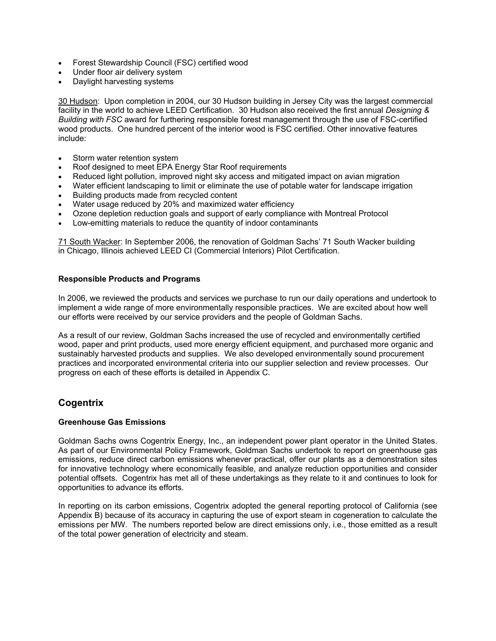- Forest Stewardship Council (FSC) certified wood
- Under floor air delivery system
- Daylight harvesting systems

30 Hudson: Upon completion in 2004, our 30 Hudson building in Jersey City was the largest commercial facility in the world to achieve LEED Certification. 30 Hudson also received the first annual *Designing & Building with FSC* award for furthering responsible forest management through the use of FSC-certified wood products. One hundred percent of the interior wood is FSC certified. Other innovative features include:

- Storm water retention system
- Roof designed to meet EPA Energy Star Roof requirements
- Reduced light pollution, improved night sky access and mitigated impact on avian migration
- Water efficient landscaping to limit or eliminate the use of potable water for landscape irrigation
- Building products made from recycled content
- Water usage reduced by 20% and maximized water efficiency
- Ozone depletion reduction goals and support of early compliance with Montreal Protocol
- Low-emitting materials to reduce the quantity of indoor contaminants

71 South Wacker: In September 2006, the renovation of Goldman Sachs' 71 South Wacker building in Chicago, Illinois achieved LEED CI (Commercial Interiors) Pilot Certification.

#### **Responsible Products and Programs**

In 2006, we reviewed the products and services we purchase to run our daily operations and undertook to implement a wide range of more environmentally responsible practices. We are excited about how well our efforts were received by our service providers and the people of Goldman Sachs.

As a result of our review, Goldman Sachs increased the use of recycled and environmentally certified wood, paper and print products, used more energy efficient equipment, and purchased more organic and sustainably harvested products and supplies. We also developed environmentally sound procurement practices and incorporated environmental criteria into our supplier selection and review processes. Our progress on each of these efforts is detailed in Appendix C.

### **Cogentrix**

#### **Greenhouse Gas Emissions**

Goldman Sachs owns Cogentrix Energy, Inc., an independent power plant operator in the United States. As part of our Environmental Policy Framework, Goldman Sachs undertook to report on greenhouse gas emissions, reduce direct carbon emissions whenever practical, offer our plants as a demonstration sites for innovative technology where economically feasible, and analyze reduction opportunities and consider potential offsets. Cogentrix has met all of these undertakings as they relate to it and continues to look for opportunities to advance its efforts.

In reporting on its carbon emissions, Cogentrix adopted the general reporting protocol of California (see Appendix B) because of its accuracy in capturing the use of export steam in cogeneration to calculate the emissions per MW. The numbers reported below are direct emissions only, i.e., those emitted as a result of the total power generation of electricity and steam.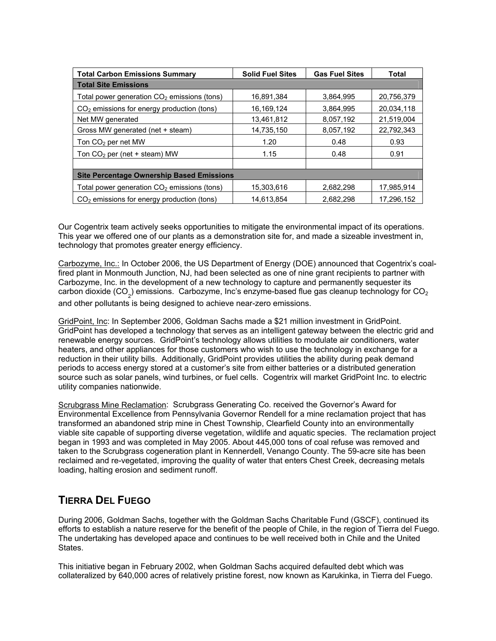| <b>Total Carbon Emissions Summary</b>                  | <b>Solid Fuel Sites</b> | <b>Gas Fuel Sites</b> | Total      |
|--------------------------------------------------------|-------------------------|-----------------------|------------|
| <b>Total Site Emissions</b>                            |                         |                       |            |
| Total power generation $CO2$ emissions (tons)          | 16.891.384              | 3,864,995             | 20,756,379 |
| CO <sub>2</sub> emissions for energy production (tons) | 16,169,124              | 3.864.995             | 20.034.118 |
| Net MW generated                                       | 13,461,812              | 8,057,192             | 21.519.004 |
| Gross MW generated (net + steam)                       | 14,735,150              | 8,057,192             | 22,792,343 |
| Ton $CO2$ per net MW                                   | 1.20                    | 0.48                  | 0.93       |
| Ton $CO2$ per (net + steam) MW                         | 1.15                    | 0.48                  | 0.91       |
|                                                        |                         |                       |            |
| <b>Site Percentage Ownership Based Emissions</b>       |                         |                       |            |
| Total power generation $CO2$ emissions (tons)          | 15,303,616              | 2,682,298             | 17,985,914 |
| $CO2$ emissions for energy production (tons)           | 14.613.854              | 2,682,298             | 17.296.152 |

Our Cogentrix team actively seeks opportunities to mitigate the environmental impact of its operations. This year we offered one of our plants as a demonstration site for, and made a sizeable investment in, technology that promotes greater energy efficiency.

Carbozyme, Inc.: In October 2006, the US Department of Energy (DOE) announced that Cogentrix's coalfired plant in Monmouth Junction, NJ, had been selected as one of nine grant recipients to partner with Carbozyme, Inc. in the development of a new technology to capture and permanently sequester its carbon dioxide (CO<sub>2</sub>) emissions. Carbozyme, Inc's enzyme-based flue gas cleanup technology for CO<sub>2</sub> and other pollutants is being designed to achieve near-zero emissions.

GridPoint, Inc: In September 2006, Goldman Sachs made a \$21 million investment in GridPoint. GridPoint has developed a technology that serves as an intelligent gateway between the electric grid and renewable energy sources. GridPoint's technology allows utilities to modulate air conditioners, water heaters, and other appliances for those customers who wish to use the technology in exchange for a reduction in their utility bills. Additionally, GridPoint provides utilities the ability during peak demand periods to access energy stored at a customer's site from either batteries or a distributed generation source such as solar panels, wind turbines, or fuel cells. Cogentrix will market GridPoint Inc. to electric utility companies nationwide.

Scrubgrass Mine Reclamation: Scrubgrass Generating Co. received the Governor's Award for Environmental Excellence from Pennsylvania Governor Rendell for a mine reclamation project that has transformed an abandoned strip mine in Chest Township, Clearfield County into an environmentally viable site capable of supporting diverse vegetation, wildlife and aquatic species. The reclamation project began in 1993 and was completed in May 2005. About 445,000 tons of coal refuse was removed and taken to the Scrubgrass cogeneration plant in Kennerdell, Venango County. The 59-acre site has been reclaimed and re-vegetated, improving the quality of water that enters Chest Creek, decreasing metals loading, halting erosion and sediment runoff.

# **TIERRA DEL FUEGO**

During 2006, Goldman Sachs, together with the Goldman Sachs Charitable Fund (GSCF), continued its efforts to establish a nature reserve for the benefit of the people of Chile, in the region of Tierra del Fuego. The undertaking has developed apace and continues to be well received both in Chile and the United States.

This initiative began in February 2002, when Goldman Sachs acquired defaulted debt which was collateralized by 640,000 acres of relatively pristine forest, now known as Karukinka, in Tierra del Fuego.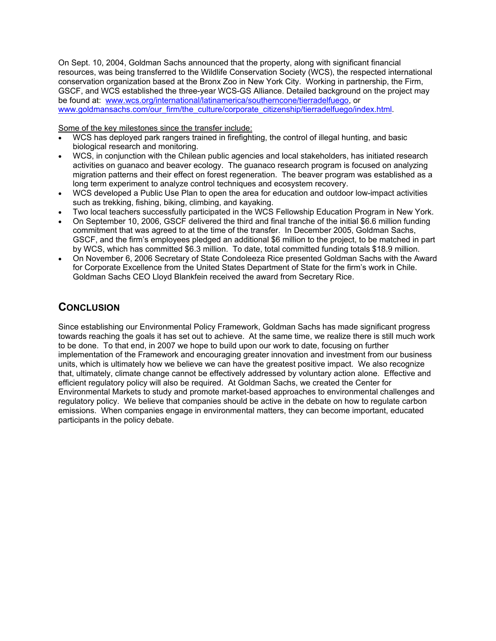On Sept. 10, 2004, Goldman Sachs announced that the property, along with significant financial resources, was being transferred to the Wildlife Conservation Society (WCS), the respected international conservation organization based at the Bronx Zoo in New York City. Working in partnership, the Firm, GSCF, and WCS established the three-year WCS-GS Alliance. Detailed background on the project may be found at: [www.wcs.org/international/latinamerica/southerncone/tierradelfuego,](http://www.wcs.org/international/latinamerica/southerncone/tierradelfuego) or [www.goldmansachs.com/our\\_firm/the\\_culture/corporate\\_citizenship/tierradelfuego/index.html.](http://www.goldmansachs.com/our_firm/the_culture/corporate_citizenship/tierradelfuego/index.html)

Some of the key milestones since the transfer include:

- WCS has deployed park rangers trained in firefighting, the control of illegal hunting, and basic biological research and monitoring.
- WCS, in conjunction with the Chilean public agencies and local stakeholders, has initiated research activities on guanaco and beaver ecology. The guanaco research program is focused on analyzing migration patterns and their effect on forest regeneration. The beaver program was established as a long term experiment to analyze control techniques and ecosystem recovery.
- WCS developed a Public Use Plan to open the area for education and outdoor low-impact activities such as trekking, fishing, biking, climbing, and kayaking.
- Two local teachers successfully participated in the WCS Fellowship Education Program in New York.
- On September 10, 2006, GSCF delivered the third and final tranche of the initial \$6.6 million funding commitment that was agreed to at the time of the transfer. In December 2005, Goldman Sachs, GSCF, and the firm's employees pledged an additional \$6 million to the project, to be matched in part by WCS, which has committed \$6.3 million. To date, total committed funding totals \$18.9 million.
- On November 6, 2006 Secretary of State Condoleeza Rice presented Goldman Sachs with the Award for Corporate Excellence from the United States Department of State for the firm's work in Chile. Goldman Sachs CEO Lloyd Blankfein received the award from Secretary Rice.

## **CONCLUSION**

Since establishing our Environmental Policy Framework, Goldman Sachs has made significant progress towards reaching the goals it has set out to achieve. At the same time, we realize there is still much work to be done. To that end, in 2007 we hope to build upon our work to date, focusing on further implementation of the Framework and encouraging greater innovation and investment from our business units, which is ultimately how we believe we can have the greatest positive impact. We also recognize that, ultimately, climate change cannot be effectively addressed by voluntary action alone. Effective and efficient regulatory policy will also be required. At Goldman Sachs, we created the Center for Environmental Markets to study and promote market-based approaches to environmental challenges and regulatory policy. We believe that companies should be active in the debate on how to regulate carbon emissions. When companies engage in environmental matters, they can become important, educated participants in the policy debate.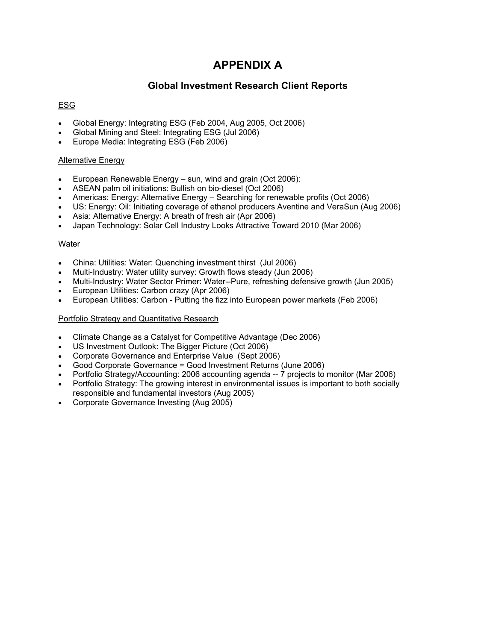# **APPENDIX A**

### **Global Investment Research Client Reports**

### ESG

- Global Energy: Integrating ESG (Feb 2004, Aug 2005, Oct 2006)
- Global Mining and Steel: Integrating ESG (Jul 2006)
- Europe Media: Integrating ESG (Feb 2006)

#### Alternative Energy

- European Renewable Energy sun, wind and grain (Oct 2006):
- ASEAN palm oil initiations: Bullish on bio-diesel (Oct 2006)
- Americas: Energy: Alternative Energy Searching for renewable profits (Oct 2006)
- US: Energy: Oil: Initiating coverage of ethanol producers Aventine and VeraSun (Aug 2006)
- Asia: Alternative Energy: A breath of fresh air (Apr 2006)
- Japan Technology: Solar Cell Industry Looks Attractive Toward 2010 (Mar 2006)

### Water

- China: Utilities: Water: Quenching investment thirst (Jul 2006)
- Multi-Industry: Water utility survey: Growth flows steady (Jun 2006)
- Multi-Industry: Water Sector Primer: Water--Pure, refreshing defensive growth (Jun 2005)
- European Utilities: Carbon crazy (Apr 2006)
- European Utilities: Carbon Putting the fizz into European power markets (Feb 2006)

#### Portfolio Strategy and Quantitative Research

- Climate Change as a Catalyst for Competitive Advantage (Dec 2006)
- US Investment Outlook: The Bigger Picture (Oct 2006)
- Corporate Governance and Enterprise Value (Sept 2006)
- Good Corporate Governance = Good Investment Returns (June 2006)
- Portfolio Strategy/Accounting: 2006 accounting agenda -- 7 projects to monitor (Mar 2006)
- Portfolio Strategy: The growing interest in environmental issues is important to both socially responsible and fundamental investors (Aug 2005)
- Corporate Governance Investing (Aug 2005)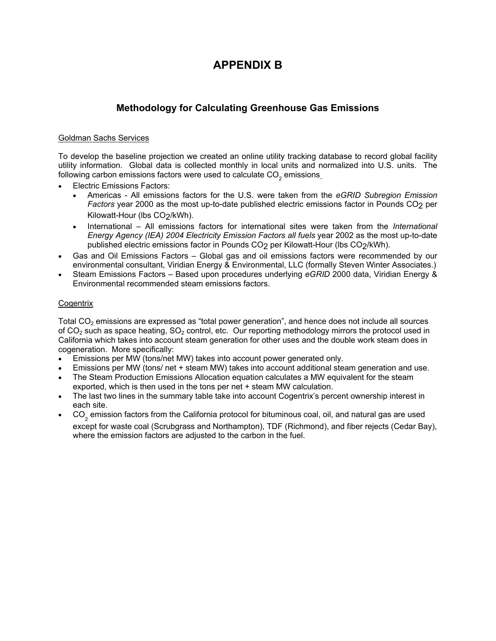# **APPENDIX B**

### **Methodology for Calculating Greenhouse Gas Emissions**

### Goldman Sachs Services

To develop the baseline projection we created an online utility tracking database to record global facility utility information. Global data is collected monthly in local units and normalized into U.S. units. The following carbon emissions factors were used to calculate  $CO<sub>2</sub>$  emissions.

- Electric Emissions Factors:
	- Americas All emissions factors for the U.S. were taken from the *eGRID Subregion Emission Factors* year 2000 as the most up-to-date published electric emissions factor in Pounds CO2 per Kilowatt-Hour (lbs CO2/kWh).
	- International All emissions factors for international sites were taken from the *International Energy Agency (IEA) 2004 Electricity Emission Factors all fuels* year 2002 as the most up-to-date published electric emissions factor in Pounds CO<sub>2</sub> per Kilowatt-Hour (lbs CO<sub>2</sub>/kWh).
- Gas and Oil Emissions Factors Global gas and oil emissions factors were recommended by our environmental consultant, Viridian Energy & Environmental, LLC (formally Steven Winter Associates.)
- Steam Emissions Factors Based upon procedures underlying *eGRID* 2000 data, Viridian Energy & Environmental recommended steam emissions factors.

### **Cogentrix**

Total  $CO<sub>2</sub>$  emissions are expressed as "total power generation", and hence does not include all sources of  $CO<sub>2</sub>$  such as space heating,  $SO<sub>2</sub>$  control, etc. Our reporting methodology mirrors the protocol used in California which takes into account steam generation for other uses and the double work steam does in cogeneration. More specifically:

- Emissions per MW (tons/net MW) takes into account power generated only.
- Emissions per MW (tons/ net + steam MW) takes into account additional steam generation and use.
- The Steam Production Emissions Allocation equation calculates a MW equivalent for the steam exported, which is then used in the tons per net + steam MW calculation.
- The last two lines in the summary table take into account Cogentrix's percent ownership interest in each site.
- CO<sub>2</sub> emission factors from the California protocol for bituminous coal, oil, and natural gas are used except for waste coal (Scrubgrass and Northampton), TDF (Richmond), and fiber rejects (Cedar Bay), where the emission factors are adjusted to the carbon in the fuel.